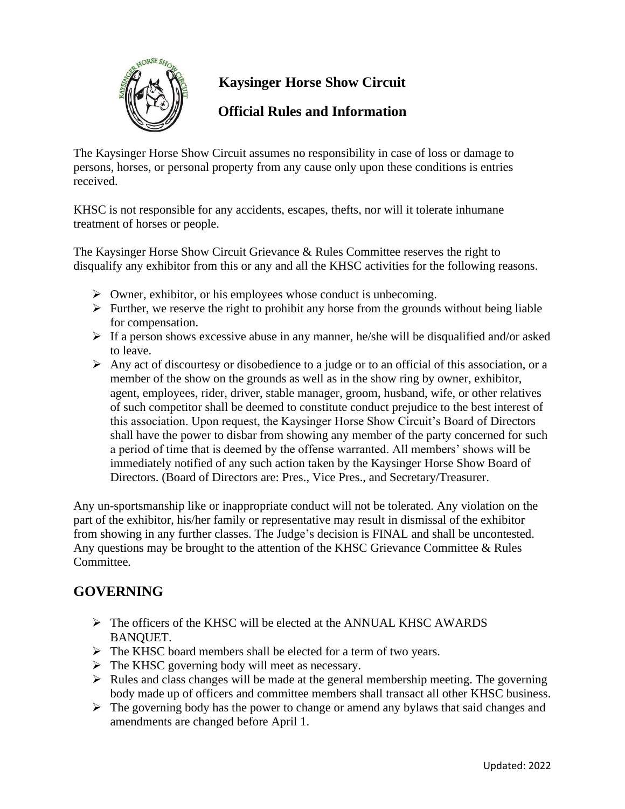

# **Kaysinger Horse Show Circuit**

## **Official Rules and Information**

The Kaysinger Horse Show Circuit assumes no responsibility in case of loss or damage to persons, horses, or personal property from any cause only upon these conditions is entries received.

KHSC is not responsible for any accidents, escapes, thefts, nor will it tolerate inhumane treatment of horses or people.

The Kaysinger Horse Show Circuit Grievance & Rules Committee reserves the right to disqualify any exhibitor from this or any and all the KHSC activities for the following reasons.

- $\triangleright$  Owner, exhibitor, or his employees whose conduct is unbecoming.
- $\triangleright$  Further, we reserve the right to prohibit any horse from the grounds without being liable for compensation.
- ➢ If a person shows excessive abuse in any manner, he/she will be disqualified and/or asked to leave.
- $\triangleright$  Any act of discourtesy or disobedience to a judge or to an official of this association, or a member of the show on the grounds as well as in the show ring by owner, exhibitor, agent, employees, rider, driver, stable manager, groom, husband, wife, or other relatives of such competitor shall be deemed to constitute conduct prejudice to the best interest of this association. Upon request, the Kaysinger Horse Show Circuit's Board of Directors shall have the power to disbar from showing any member of the party concerned for such a period of time that is deemed by the offense warranted. All members' shows will be immediately notified of any such action taken by the Kaysinger Horse Show Board of Directors. (Board of Directors are: Pres., Vice Pres., and Secretary/Treasurer.

Any un-sportsmanship like or inappropriate conduct will not be tolerated. Any violation on the part of the exhibitor, his/her family or representative may result in dismissal of the exhibitor from showing in any further classes. The Judge's decision is FINAL and shall be uncontested. Any questions may be brought to the attention of the KHSC Grievance Committee & Rules Committee.

## **GOVERNING**

- $\triangleright$  The officers of the KHSC will be elected at the ANNUAL KHSC AWARDS BANQUET.
- ➢ The KHSC board members shall be elected for a term of two years.
- $\triangleright$  The KHSC governing body will meet as necessary.
- $\triangleright$  Rules and class changes will be made at the general membership meeting. The governing body made up of officers and committee members shall transact all other KHSC business.
- ➢ The governing body has the power to change or amend any bylaws that said changes and amendments are changed before April 1.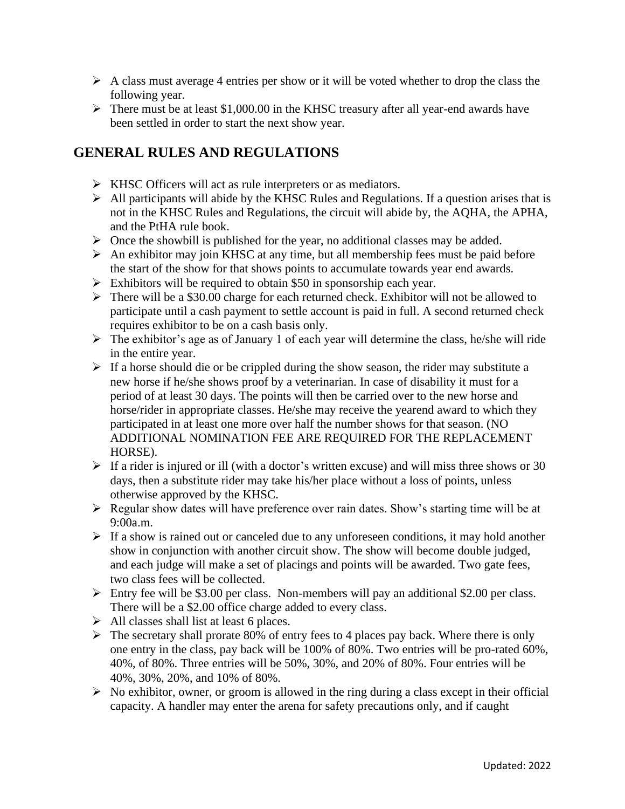- $\triangleright$  A class must average 4 entries per show or it will be voted whether to drop the class the following year.
- $\triangleright$  There must be at least \$1,000.00 in the KHSC treasury after all year-end awards have been settled in order to start the next show year.

## **GENERAL RULES AND REGULATIONS**

- ➢ KHSC Officers will act as rule interpreters or as mediators.
- $\triangleright$  All participants will abide by the KHSC Rules and Regulations. If a question arises that is not in the KHSC Rules and Regulations, the circuit will abide by, the AQHA, the APHA, and the PtHA rule book.
- $\triangleright$  Once the showbill is published for the year, no additional classes may be added.
- $\triangleright$  An exhibitor may join KHSC at any time, but all membership fees must be paid before the start of the show for that shows points to accumulate towards year end awards.
- $\triangleright$  Exhibitors will be required to obtain \$50 in sponsorship each year.
- ➢ There will be a \$30.00 charge for each returned check. Exhibitor will not be allowed to participate until a cash payment to settle account is paid in full. A second returned check requires exhibitor to be on a cash basis only.
- $\triangleright$  The exhibitor's age as of January 1 of each year will determine the class, he/she will ride in the entire year.
- $\triangleright$  If a horse should die or be crippled during the show season, the rider may substitute a new horse if he/she shows proof by a veterinarian. In case of disability it must for a period of at least 30 days. The points will then be carried over to the new horse and horse/rider in appropriate classes. He/she may receive the yearend award to which they participated in at least one more over half the number shows for that season. (NO ADDITIONAL NOMINATION FEE ARE REQUIRED FOR THE REPLACEMENT HORSE).
- $\triangleright$  If a rider is injured or ill (with a doctor's written excuse) and will miss three shows or 30 days, then a substitute rider may take his/her place without a loss of points, unless otherwise approved by the KHSC.
- ➢ Regular show dates will have preference over rain dates. Show's starting time will be at 9:00a.m.
- $\triangleright$  If a show is rained out or canceled due to any unforeseen conditions, it may hold another show in conjunction with another circuit show. The show will become double judged, and each judge will make a set of placings and points will be awarded. Two gate fees, two class fees will be collected.
- $\triangleright$  Entry fee will be \$3.00 per class. Non-members will pay an additional \$2.00 per class. There will be a \$2.00 office charge added to every class.
- $\triangleright$  All classes shall list at least 6 places.
- $\triangleright$  The secretary shall prorate 80% of entry fees to 4 places pay back. Where there is only one entry in the class, pay back will be 100% of 80%. Two entries will be pro-rated 60%, 40%, of 80%. Three entries will be 50%, 30%, and 20% of 80%. Four entries will be 40%, 30%, 20%, and 10% of 80%.
- $\triangleright$  No exhibitor, owner, or groom is allowed in the ring during a class except in their official capacity. A handler may enter the arena for safety precautions only, and if caught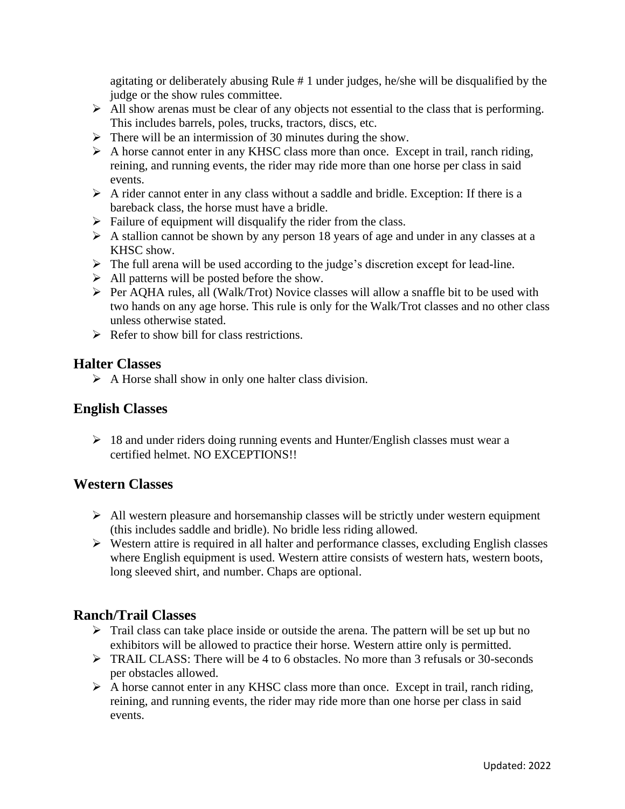agitating or deliberately abusing Rule # 1 under judges, he/she will be disqualified by the judge or the show rules committee.

- ➢ All show arenas must be clear of any objects not essential to the class that is performing. This includes barrels, poles, trucks, tractors, discs, etc.
- $\triangleright$  There will be an intermission of 30 minutes during the show.
- ➢ A horse cannot enter in any KHSC class more than once. Except in trail, ranch riding, reining, and running events, the rider may ride more than one horse per class in said events.
- $\triangleright$  A rider cannot enter in any class without a saddle and bridle. Exception: If there is a bareback class, the horse must have a bridle.
- $\triangleright$  Failure of equipment will disqualify the rider from the class.
- ➢ A stallion cannot be shown by any person 18 years of age and under in any classes at a KHSC show.
- ➢ The full arena will be used according to the judge's discretion except for lead-line.
- $\triangleright$  All patterns will be posted before the show.
- ➢ Per AQHA rules, all (Walk/Trot) Novice classes will allow a snaffle bit to be used with two hands on any age horse. This rule is only for the Walk/Trot classes and no other class unless otherwise stated.
- $\triangleright$  Refer to show bill for class restrictions.

#### **Halter Classes**

 $\triangleright$  A Horse shall show in only one halter class division.

### **English Classes**

 $\geq 18$  and under riders doing running events and Hunter/English classes must wear a certified helmet. NO EXCEPTIONS!!

#### **Western Classes**

- $\triangleright$  All western pleasure and horsemanship classes will be strictly under western equipment (this includes saddle and bridle). No bridle less riding allowed.
- $\triangleright$  Western attire is required in all halter and performance classes, excluding English classes where English equipment is used. Western attire consists of western hats, western boots, long sleeved shirt, and number. Chaps are optional.

#### **Ranch/Trail Classes**

- ➢ Trail class can take place inside or outside the arena. The pattern will be set up but no exhibitors will be allowed to practice their horse. Western attire only is permitted.
- ➢ TRAIL CLASS: There will be 4 to 6 obstacles. No more than 3 refusals or 30-seconds per obstacles allowed.
- ➢ A horse cannot enter in any KHSC class more than once. Except in trail, ranch riding, reining, and running events, the rider may ride more than one horse per class in said events.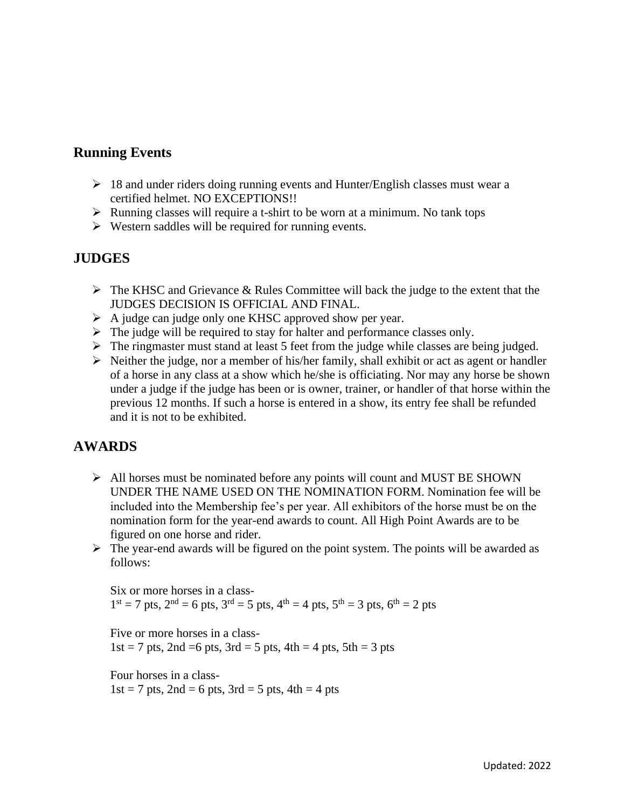#### **Running Events**

- $\geq 18$  and under riders doing running events and Hunter/English classes must wear a certified helmet. NO EXCEPTIONS!!
- $\triangleright$  Running classes will require a t-shirt to be worn at a minimum. No tank tops
- ➢ Western saddles will be required for running events.

## **JUDGES**

- ➢ The KHSC and Grievance & Rules Committee will back the judge to the extent that the JUDGES DECISION IS OFFICIAL AND FINAL.
- ➢ A judge can judge only one KHSC approved show per year.
- $\triangleright$  The judge will be required to stay for halter and performance classes only.
- $\triangleright$  The ringmaster must stand at least 5 feet from the judge while classes are being judged.
- $\triangleright$  Neither the judge, nor a member of his/her family, shall exhibit or act as agent or handler of a horse in any class at a show which he/she is officiating. Nor may any horse be shown under a judge if the judge has been or is owner, trainer, or handler of that horse within the previous 12 months. If such a horse is entered in a show, its entry fee shall be refunded and it is not to be exhibited.

## **AWARDS**

- $\triangleright$  All horses must be nominated before any points will count and MUST BE SHOWN UNDER THE NAME USED ON THE NOMINATION FORM. Nomination fee will be included into the Membership fee's per year. All exhibitors of the horse must be on the nomination form for the year-end awards to count. All High Point Awards are to be figured on one horse and rider.
- $\triangleright$  The year-end awards will be figured on the point system. The points will be awarded as follows:

Six or more horses in a class- $1<sup>st</sup> = 7$  pts,  $2<sup>nd</sup> = 6$  pts,  $3<sup>rd</sup> = 5$  pts,  $4<sup>th</sup> = 4$  pts,  $5<sup>th</sup> = 3$  pts,  $6<sup>th</sup> = 2$  pts

Five or more horses in a class- $1st = 7$  pts,  $2nd = 6$  pts,  $3rd = 5$  pts,  $4th = 4$  pts,  $5th = 3$  pts

Four horses in a class- $1st = 7$  pts,  $2nd = 6$  pts,  $3rd = 5$  pts,  $4th = 4$  pts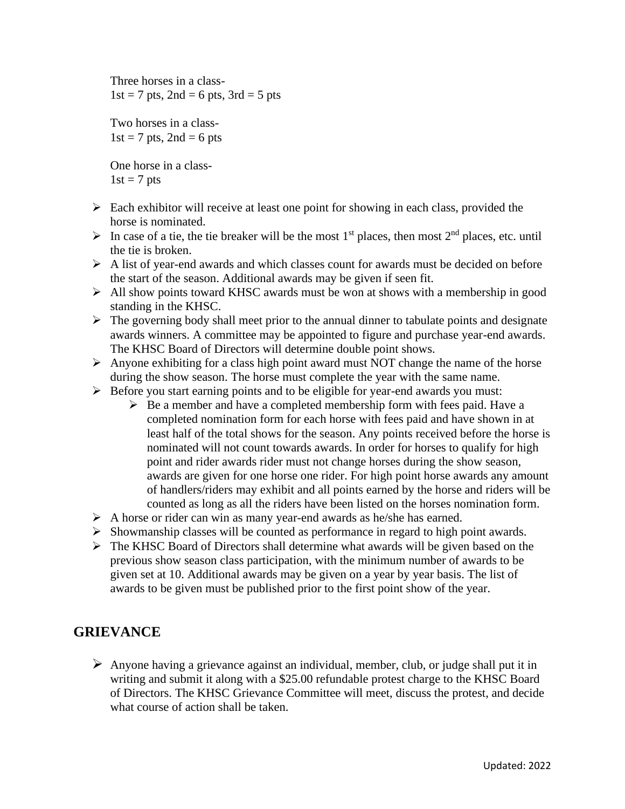Three horses in a class- $1st = 7$  pts,  $2nd = 6$  pts,  $3rd = 5$  pts

Two horses in a class- $1st = 7$  pts,  $2nd = 6$  pts

One horse in a class- $1st = 7$  pts

- $\triangleright$  Each exhibitor will receive at least one point for showing in each class, provided the horse is nominated.
- $\triangleright$  In case of a tie, the tie breaker will be the most 1<sup>st</sup> places, then most 2<sup>nd</sup> places, etc. until the tie is broken.
- ➢ A list of year-end awards and which classes count for awards must be decided on before the start of the season. Additional awards may be given if seen fit.
- ➢ All show points toward KHSC awards must be won at shows with a membership in good standing in the KHSC.
- ➢ The governing body shall meet prior to the annual dinner to tabulate points and designate awards winners. A committee may be appointed to figure and purchase year-end awards. The KHSC Board of Directors will determine double point shows.
- $\triangleright$  Anyone exhibiting for a class high point award must NOT change the name of the horse during the show season. The horse must complete the year with the same name.
- ➢ Before you start earning points and to be eligible for year-end awards you must:
	- $\triangleright$  Be a member and have a completed membership form with fees paid. Have a completed nomination form for each horse with fees paid and have shown in at least half of the total shows for the season. Any points received before the horse is nominated will not count towards awards. In order for horses to qualify for high point and rider awards rider must not change horses during the show season, awards are given for one horse one rider. For high point horse awards any amount of handlers/riders may exhibit and all points earned by the horse and riders will be counted as long as all the riders have been listed on the horses nomination form.
- ➢ A horse or rider can win as many year-end awards as he/she has earned.
- $\triangleright$  Showmanship classes will be counted as performance in regard to high point awards.
- ➢ The KHSC Board of Directors shall determine what awards will be given based on the previous show season class participation, with the minimum number of awards to be given set at 10. Additional awards may be given on a year by year basis. The list of awards to be given must be published prior to the first point show of the year.

## **GRIEVANCE**

 $\triangleright$  Anyone having a grievance against an individual, member, club, or judge shall put it in writing and submit it along with a \$25.00 refundable protest charge to the KHSC Board of Directors. The KHSC Grievance Committee will meet, discuss the protest, and decide what course of action shall be taken.